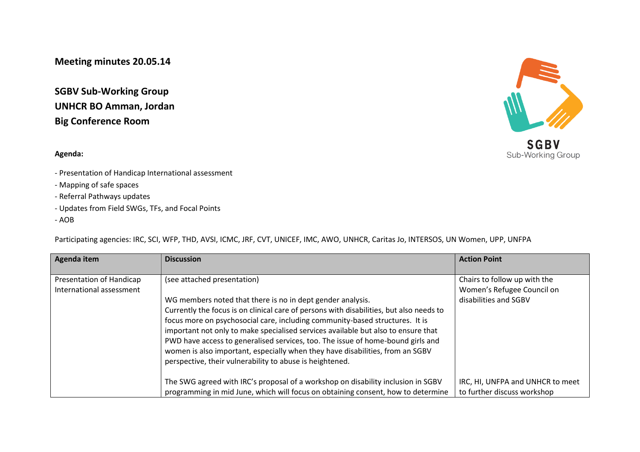**Meeting minutes 20.05.14**

**SGBV Sub-Working Group UNHCR BO Amman, Jordan Big Conference Room**

## **Agenda:**

- Presentation of Handicap International assessment
- Mapping of safe spaces
- Referral Pathways updates
- Updates from Field SWGs, TFs, and Focal Points
- AOB

Participating agencies: IRC, SCI, WFP, THD, AVSI, ICMC, JRF, CVT, UNICEF, IMC, AWO, UNHCR, Caritas Jo, INTERSOS, UN Women, UPP, UNFPA

| Agenda item              | <b>Discussion</b>                                                                       | <b>Action Point</b>              |
|--------------------------|-----------------------------------------------------------------------------------------|----------------------------------|
|                          |                                                                                         |                                  |
| Presentation of Handicap | (see attached presentation)                                                             | Chairs to follow up with the     |
| International assessment |                                                                                         | Women's Refugee Council on       |
|                          | WG members noted that there is no in dept gender analysis.                              | disabilities and SGBV            |
|                          | Currently the focus is on clinical care of persons with disabilities, but also needs to |                                  |
|                          | focus more on psychosocial care, including community-based structures. It is            |                                  |
|                          | important not only to make specialised services available but also to ensure that       |                                  |
|                          | PWD have access to generalised services, too. The issue of home-bound girls and         |                                  |
|                          | women is also important, especially when they have disabilities, from an SGBV           |                                  |
|                          | perspective, their vulnerability to abuse is heightened.                                |                                  |
|                          |                                                                                         |                                  |
|                          | The SWG agreed with IRC's proposal of a workshop on disability inclusion in SGBV        | IRC, HI, UNFPA and UNHCR to meet |
|                          | programming in mid June, which will focus on obtaining consent, how to determine        | to further discuss workshop      |

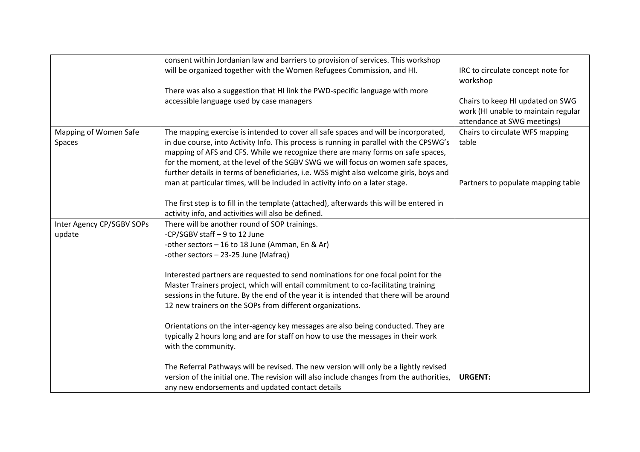|                           | consent within Jordanian law and barriers to provision of services. This workshop        |                                     |
|---------------------------|------------------------------------------------------------------------------------------|-------------------------------------|
|                           | will be organized together with the Women Refugees Commission, and HI.                   | IRC to circulate concept note for   |
|                           |                                                                                          | workshop                            |
|                           | There was also a suggestion that HI link the PWD-specific language with more             |                                     |
|                           | accessible language used by case managers                                                | Chairs to keep HI updated on SWG    |
|                           |                                                                                          | work (HI unable to maintain regular |
|                           |                                                                                          | attendance at SWG meetings)         |
| Mapping of Women Safe     | The mapping exercise is intended to cover all safe spaces and will be incorporated,      | Chairs to circulate WFS mapping     |
| Spaces                    | in due course, into Activity Info. This process is running in parallel with the CPSWG's  | table                               |
|                           | mapping of AFS and CFS. While we recognize there are many forms on safe spaces,          |                                     |
|                           | for the moment, at the level of the SGBV SWG we will focus on women safe spaces,         |                                     |
|                           | further details in terms of beneficiaries, i.e. WSS might also welcome girls, boys and   |                                     |
|                           | man at particular times, will be included in activity info on a later stage.             | Partners to populate mapping table  |
|                           |                                                                                          |                                     |
|                           | The first step is to fill in the template (attached), afterwards this will be entered in |                                     |
|                           | activity info, and activities will also be defined.                                      |                                     |
| Inter Agency CP/SGBV SOPs | There will be another round of SOP trainings.                                            |                                     |
| update                    | -CP/SGBV staff - 9 to 12 June                                                            |                                     |
|                           | -other sectors - 16 to 18 June (Amman, En & Ar)                                          |                                     |
|                           | -other sectors - 23-25 June (Mafraq)                                                     |                                     |
|                           |                                                                                          |                                     |
|                           | Interested partners are requested to send nominations for one focal point for the        |                                     |
|                           | Master Trainers project, which will entail commitment to co-facilitating training        |                                     |
|                           | sessions in the future. By the end of the year it is intended that there will be around  |                                     |
|                           | 12 new trainers on the SOPs from different organizations.                                |                                     |
|                           |                                                                                          |                                     |
|                           | Orientations on the inter-agency key messages are also being conducted. They are         |                                     |
|                           | typically 2 hours long and are for staff on how to use the messages in their work        |                                     |
|                           | with the community.                                                                      |                                     |
|                           |                                                                                          |                                     |
|                           | The Referral Pathways will be revised. The new version will only be a lightly revised    |                                     |
|                           | version of the initial one. The revision will also include changes from the authorities, | <b>URGENT:</b>                      |
|                           | any new endorsements and updated contact details                                         |                                     |